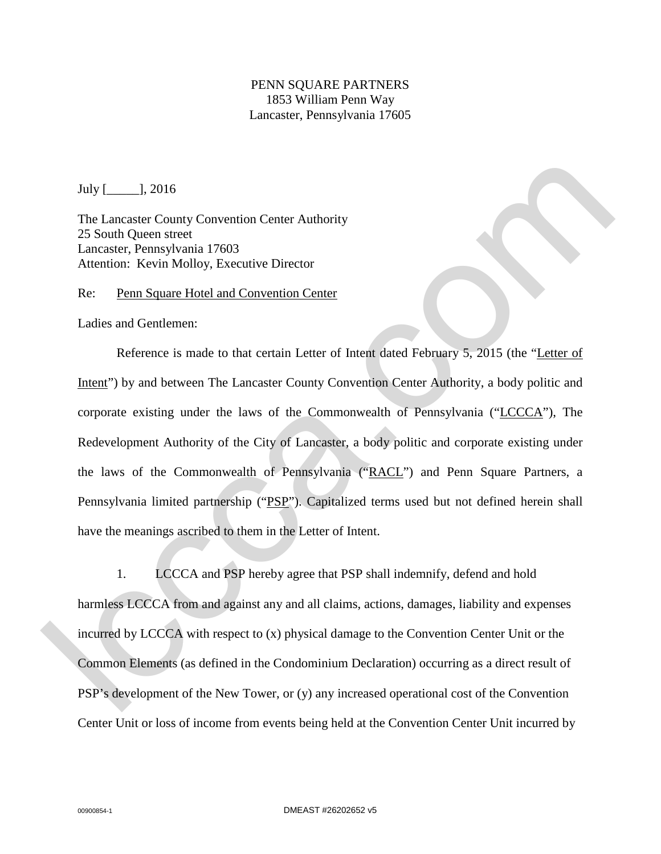## PENN SQUARE PARTNERS 1853 William Penn Way Lancaster, Pennsylvania 17605

July [\_\_\_\_\_], 2016

The Lancaster County Convention Center Authority 25 South Queen street Lancaster, Pennsylvania 17603 Attention: Kevin Molloy, Executive Director

Re: Penn Square Hotel and Convention Center

Ladies and Gentlemen:

Reference is made to that certain Letter of Intent dated February 5, 2015 (the "Letter of Intent") by and between The Lancaster County Convention Center Authority, a body politic and corporate existing under the laws of the Commonwealth of Pennsylvania ("LCCCA"), The Redevelopment Authority of the City of Lancaster, a body politic and corporate existing under the laws of the Commonwealth of Pennsylvania ("RACL") and Penn Square Partners, a Pennsylvania limited partnership ("PSP"). Capitalized terms used but not defined herein shall have the meanings ascribed to them in the Letter of Intent. lccca.com

1. LCCCA and PSP hereby agree that PSP shall indemnify, defend and hold harmless LCCCA from and against any and all claims, actions, damages, liability and expenses incurred by LCCCA with respect to (x) physical damage to the Convention Center Unit or the Common Elements (as defined in the Condominium Declaration) occurring as a direct result of PSP's development of the New Tower, or (y) any increased operational cost of the Convention Center Unit or loss of income from events being held at the Convention Center Unit incurred by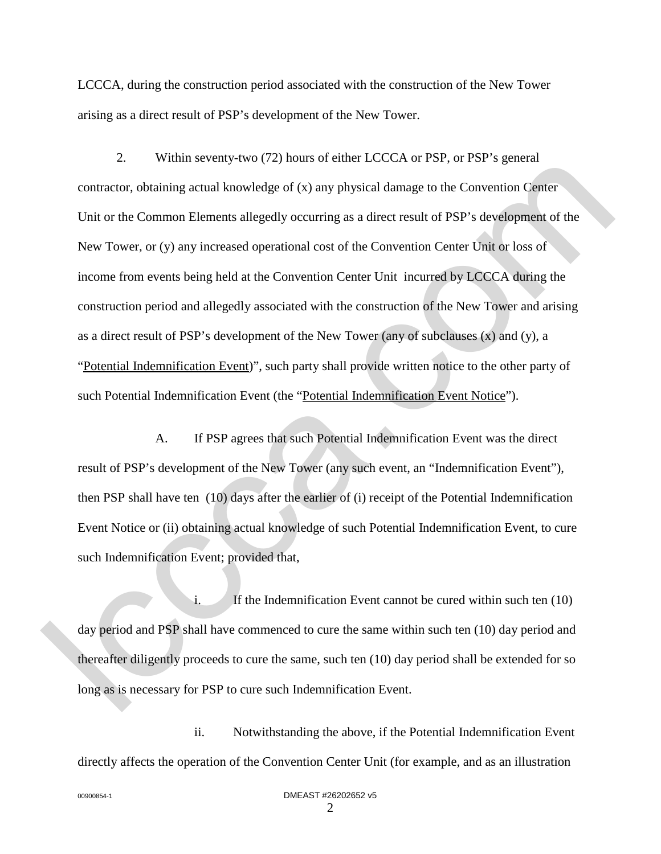LCCCA, during the construction period associated with the construction of the New Tower arising as a direct result of PSP's development of the New Tower.

2. Within seventy-two (72) hours of either LCCCA or PSP, or PSP's general contractor, obtaining actual knowledge of (x) any physical damage to the Convention Center Unit or the Common Elements allegedly occurring as a direct result of PSP's development of the New Tower, or (y) any increased operational cost of the Convention Center Unit or loss of income from events being held at the Convention Center Unit incurred by LCCCA during the construction period and allegedly associated with the construction of the New Tower and arising as a direct result of PSP's development of the New Tower (any of subclauses (x) and (y), a "Potential Indemnification Event)", such party shall provide written notice to the other party of such Potential Indemnification Event (the "Potential Indemnification Event Notice"). 2. The Commission Randon Center (2.0,28 or 1.5), or 1.31 s guident Center Center Contribution Center Unit or the Communa Elements allegedly occurring as a direct result of PSP's development of the Convention Center Unit or

A. If PSP agrees that such Potential Indemnification Event was the direct result of PSP's development of the New Tower (any such event, an "Indemnification Event"), then PSP shall have ten (10) days after the earlier of (i) receipt of the Potential Indemnification Event Notice or (ii) obtaining actual knowledge of such Potential Indemnification Event, to cure such Indemnification Event; provided that,

i. If the Indemnification Event cannot be cured within such ten (10) day period and PSP shall have commenced to cure the same within such ten (10) day period and thereafter diligently proceeds to cure the same, such ten (10) day period shall be extended for so long as is necessary for PSP to cure such Indemnification Event.

ii. Notwithstanding the above, if the Potential Indemnification Event directly affects the operation of the Convention Center Unit (for example, and as an illustration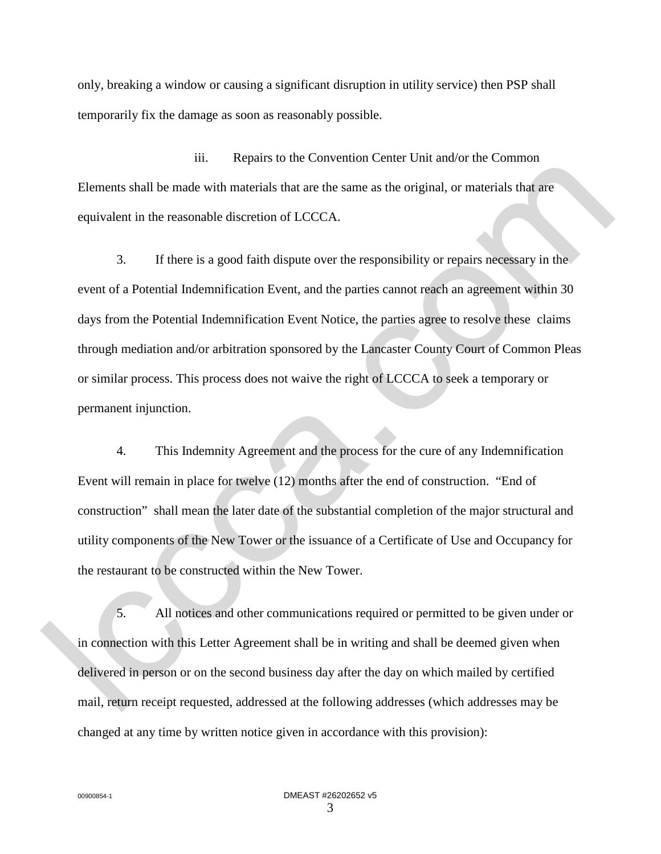only, breaking a window or causing a significant disruption in utility service) then PSP shall temporarily fix the damage as soon as reasonably possible.

iii. Repairs to the Convention Center Unit and/or the Common Elements shall be made with materials that are the same as the original, or materials that are equivalent in the reasonable discretion of LCCCA.

3. If there is a good faith dispute over the responsibility or repairs necessary in the event of a Potential Indemnification Event, and the parties cannot reach an agreement within 30 days from the Potential Indemnification Event Notice, the parties agree to resolve these claims through mediation and/or arbitration sponsored by the Lancaster County Court of Common Pleas or similar process. This process does not waive the right of LCCCA to seek a temporary or permanent injunction. Filements shall be made with materials that are the same as the original, or materials that are<br>equivalent in the reasonable discretion of LCCCA.<br>
3. If there is a good failth dispute over the responsibility or repairs nec

4. This Indemnity Agreement and the process for the cure of any Indemnification Event will remain in place for twelve (12) months after the end of construction. "End of construction" shall mean the later date of the substantial completion of the major structural and utility components of the New Tower or the issuance of a Certificate of Use and Occupancy for the restaurant to be constructed within the New Tower.

5. All notices and other communications required or permitted to be given under or in connection with this Letter Agreement shall be in writing and shall be deemed given when delivered in person or on the second business day after the day on which mailed by certified mail, return receipt requested, addressed at the following addresses (which addresses may be changed at any time by written notice given in accordance with this provision):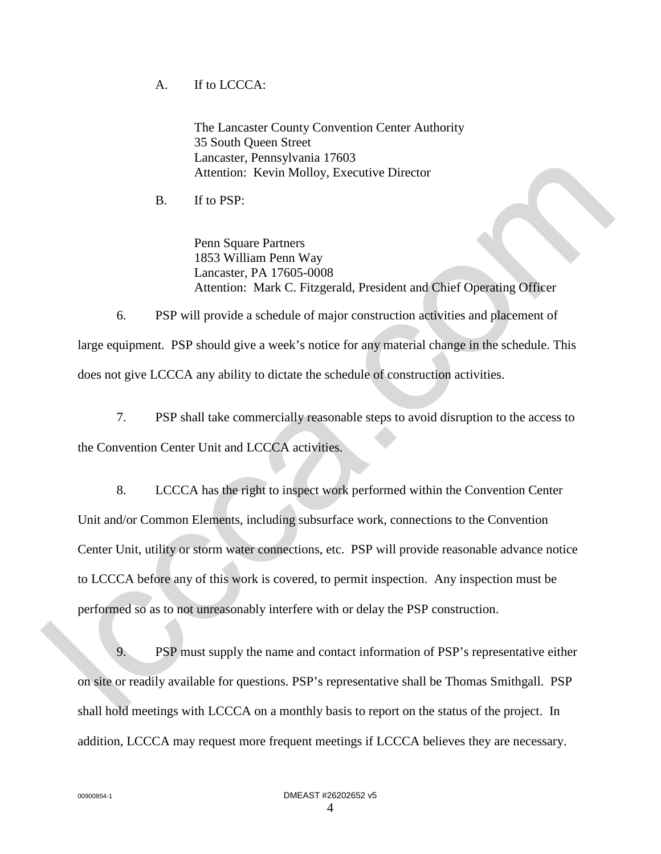## A. If to LCCCA:

The Lancaster County Convention Center Authority 35 South Queen Street Lancaster, Pennsylvania 17603 Attention: Kevin Molloy, Executive Director

B. If to PSP:

Penn Square Partners 1853 William Penn Way Lancaster, PA 17605-0008 Attention: Mark C. Fitzgerald, President and Chief Operating Officer

6. PSP will provide a schedule of major construction activities and placement of large equipment. PSP should give a week's notice for any material change in the schedule. This does not give LCCCA any ability to dictate the schedule of construction activities.

7. PSP shall take commercially reasonable steps to avoid disruption to the access to the Convention Center Unit and LCCCA activities.

8. LCCCA has the right to inspect work performed within the Convention Center Unit and/or Common Elements, including subsurface work, connections to the Convention Center Unit, utility or storm water connections, etc. PSP will provide reasonable advance notice to LCCCA before any of this work is covered, to permit inspection. Any inspection must be performed so as to not unreasonably interfere with or delay the PSP construction. The Matholson Executive Director<br>
2. The PSP:<br>
2. The PSP:<br>
2. The PSP:<br>
2. Penn Square Partners<br>
18.53 William Penn Way<br>
2. Lancaster, PA 17605-0008<br>
2. Alternation: Mark C. Fitzgerald, President and Chief Operating Offic

9. PSP must supply the name and contact information of PSP's representative either on site or readily available for questions. PSP's representative shall be Thomas Smithgall. PSP shall hold meetings with LCCCA on a monthly basis to report on the status of the project. In addition, LCCCA may request more frequent meetings if LCCCA believes they are necessary.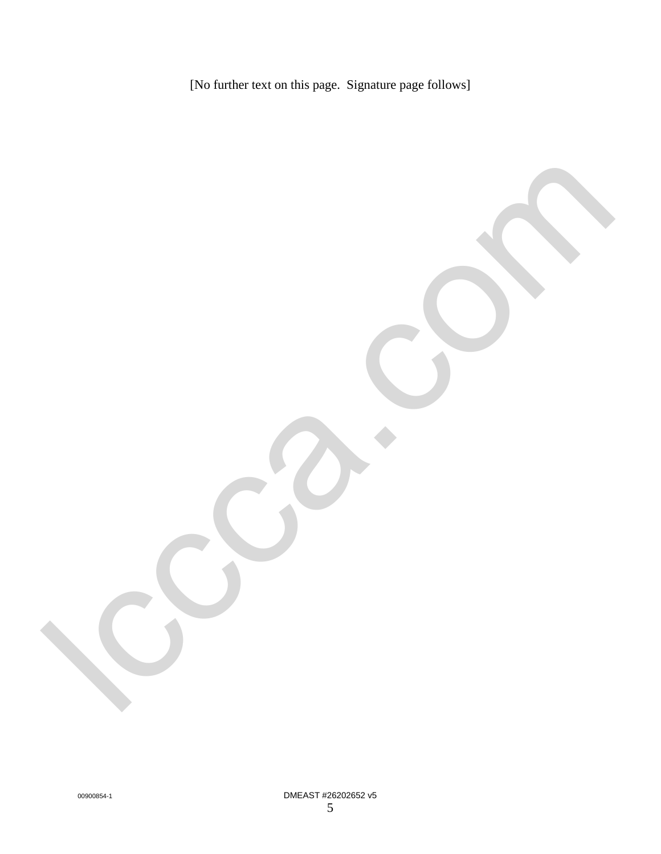[No further text on this page. Signature page follows]

lcca.com